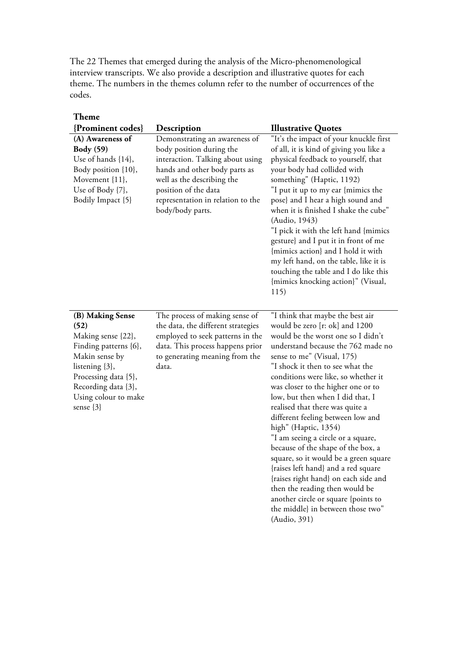The 22 Themes that emerged during the analysis of the Micro-phenomenological interview transcripts. We also provide a description and illustrative quotes for each theme. The numbers in the themes column refer to the number of occurrences of the codes.

| <b>Theme</b>                                                                                                                                                                                        |                                                                                                                                                                                                                                               |                                                                                                                                                                                                                                                                                                                                                                                                                                                                                                                                                                                                                                                                                                                                                                     |
|-----------------------------------------------------------------------------------------------------------------------------------------------------------------------------------------------------|-----------------------------------------------------------------------------------------------------------------------------------------------------------------------------------------------------------------------------------------------|---------------------------------------------------------------------------------------------------------------------------------------------------------------------------------------------------------------------------------------------------------------------------------------------------------------------------------------------------------------------------------------------------------------------------------------------------------------------------------------------------------------------------------------------------------------------------------------------------------------------------------------------------------------------------------------------------------------------------------------------------------------------|
| {Prominent codes}                                                                                                                                                                                   | Description                                                                                                                                                                                                                                   | <b>Illustrative Quotes</b>                                                                                                                                                                                                                                                                                                                                                                                                                                                                                                                                                                                                                                                                                                                                          |
| (A) Awareness of<br><b>Body</b> (59)<br>Use of hands {14},<br>Body position {10},<br>Movement {11},<br>Use of Body {7},<br>Bodily Impact {5}                                                        | Demonstrating an awareness of<br>body position during the<br>interaction. Talking about using<br>hands and other body parts as<br>well as the describing the<br>position of the data<br>representation in relation to the<br>body/body parts. | "It's the impact of your knuckle first<br>of all, it is kind of giving you like a<br>physical feedback to yourself, that<br>your body had collided with<br>something" (Haptic, 1192)<br>"I put it up to my ear {mimics the<br>pose} and I hear a high sound and<br>when it is finished I shake the cube"<br>(Audio, 1943)<br>"I pick it with the left hand {mimics<br>gesture} and I put it in front of me<br>{mimics action} and I hold it with<br>my left hand, on the table, like it is<br>touching the table and I do like this<br>{mimics knocking action}" (Visual,<br>115)                                                                                                                                                                                   |
| (B) Making Sense<br>(52)<br>Making sense {22},<br>Finding patterns {6},<br>Makin sense by<br>listening {3},<br>Processing data {5},<br>Recording data {3},<br>Using colour to make<br>sense $\{3\}$ | The process of making sense of<br>the data, the different strategies<br>employed to seek patterns in the<br>data. This process happens prior<br>to generating meaning from the<br>data.                                                       | "I think that maybe the best air<br>would be zero [r: ok] and 1200<br>would be the worst one so I didn't<br>understand because the 762 made no<br>sense to me" (Visual, 175)<br>"I shock it then to see what the<br>conditions were like, so whether it<br>was closer to the higher one or to<br>low, but then when I did that, I<br>realised that there was quite a<br>different feeling between low and<br>high" (Haptic, 1354)<br>"I am seeing a circle or a square,<br>because of the shape of the box, a<br>square, so it would be a green square<br>{raises left hand} and a red square<br>{raises right hand} on each side and<br>then the reading then would be<br>another circle or square {points to<br>the middle} in between those two"<br>(Audio, 391) |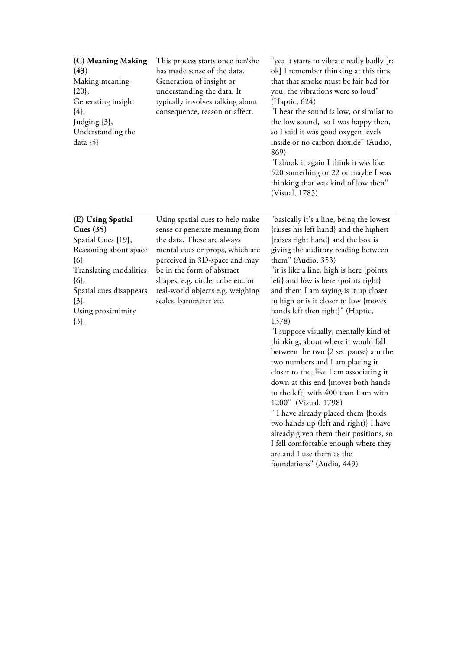| (C) Meaning Making<br>(43)<br>Making meaning<br>$\{20\},\$<br>Generating insight<br>${4},$<br>Judging {3},<br>Understanding the<br>data $\{5\}$                                                         | This process starts once her/she<br>has made sense of the data.<br>Generation of insight or<br>understanding the data. It<br>typically involves talking about<br>consequence, reason or affect.                                                                                                      | "yea it starts to vibrate really badly [r:<br>ok] I remember thinking at this time<br>that that smoke must be fair bad for<br>you, the vibrations were so loud"<br>(Haptic, 624)<br>"I hear the sound is low, or similar to<br>the low sound, so I was happy then,<br>so I said it was good oxygen levels<br>inside or no carbon dioxide" (Audio,<br>869)<br>"I shook it again I think it was like<br>520 something or 22 or maybe I was<br>thinking that was kind of low then"<br>(Visual, 1785)                                                                                                                                                                                                                                                                                                                                                                                                                  |
|---------------------------------------------------------------------------------------------------------------------------------------------------------------------------------------------------------|------------------------------------------------------------------------------------------------------------------------------------------------------------------------------------------------------------------------------------------------------------------------------------------------------|--------------------------------------------------------------------------------------------------------------------------------------------------------------------------------------------------------------------------------------------------------------------------------------------------------------------------------------------------------------------------------------------------------------------------------------------------------------------------------------------------------------------------------------------------------------------------------------------------------------------------------------------------------------------------------------------------------------------------------------------------------------------------------------------------------------------------------------------------------------------------------------------------------------------|
| (E) Using Spatial<br>Cues $(35)$<br>Spatial Cues {19},<br>Reasoning about space<br>${6},$<br>Translating modalities<br>${6},$<br>Spatial cues disappears<br>$\{3\},\$<br>Using proximimity<br>$\{3\},\$ | Using spatial cues to help make<br>sense or generate meaning from<br>the data. These are always<br>mental cues or props, which are<br>perceived in 3D-space and may<br>be in the form of abstract<br>shapes, e.g. circle, cube etc. or<br>real-world objects e.g. weighing<br>scales, barometer etc. | "basically it's a line, being the lowest<br>{raises his left hand} and the highest<br>{raises right hand} and the box is<br>giving the auditory reading between<br>them" (Audio, 353)<br>"it is like a line, high is here {points<br>left} and low is here {points right}<br>and them I am saying is it up closer<br>to high or is it closer to low {moves<br>hands left then right}" (Haptic,<br>1378)<br>"I suppose visually, mentally kind of<br>thinking, about where it would fall<br>between the two {2 sec pause} am the<br>two numbers and I am placing it<br>closer to the, like I am associating it<br>down at this end {moves both hands<br>to the left} with 400 than I am with<br>1200" (Visual, 1798)<br>" I have already placed them {holds<br>two hands up (left and right)} I have<br>already given them their positions, so<br>I fell comfortable enough where they<br>are and I use them as the |

foundations" (Audio, 449)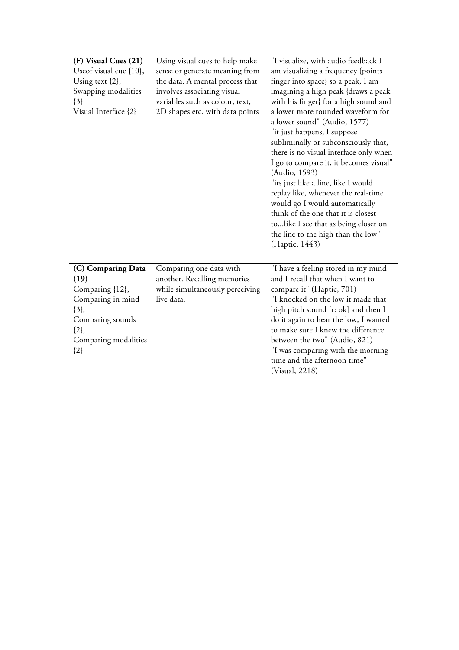| (F) Visual Cues (21)<br>Useof visual cue {10},<br>Using text $\{2\}$ ,<br>Swapping modalities<br>${3}$<br>Visual Interface {2}                    | Using visual cues to help make<br>sense or generate meaning from<br>the data. A mental process that<br>involves associating visual<br>variables such as colour, text,<br>2D shapes etc. with data points | "I visualize, with audio feedback I<br>am visualizing a frequency {points<br>finger into space} so a peak, I am<br>imagining a high peak {draws a peak<br>with his finger} for a high sound and<br>a lower more rounded waveform for<br>a lower sound" (Audio, 1577)<br>"it just happens, I suppose<br>subliminally or subconsciously that,<br>there is no visual interface only when<br>I go to compare it, it becomes visual"<br>(Audio, 1593)<br>"its just like a line, like I would<br>replay like, whenever the real-time<br>would go I would automatically<br>think of the one that it is closest<br>tolike I see that as being closer on<br>the line to the high than the low"<br>(Haptic, 1443) |
|---------------------------------------------------------------------------------------------------------------------------------------------------|----------------------------------------------------------------------------------------------------------------------------------------------------------------------------------------------------------|---------------------------------------------------------------------------------------------------------------------------------------------------------------------------------------------------------------------------------------------------------------------------------------------------------------------------------------------------------------------------------------------------------------------------------------------------------------------------------------------------------------------------------------------------------------------------------------------------------------------------------------------------------------------------------------------------------|
| (C) Comparing Data<br>(19)<br>Comparing {12},<br>Comparing in mind<br>$\{3\},\$<br>Comparing sounds<br>$\{2\},\$<br>Comparing modalities<br>${2}$ | Comparing one data with<br>another. Recalling memories<br>while simultaneously perceiving<br>live data.                                                                                                  | "I have a feeling stored in my mind<br>and I recall that when I want to<br>compare it" (Haptic, 701)<br>"I knocked on the low it made that<br>high pitch sound [r: ok] and then I<br>do it again to hear the low, I wanted<br>to make sure I knew the difference<br>between the two" (Audio, 821)<br>"I was comparing with the morning<br>time and the afternoon time"<br>(Visual, 2218)                                                                                                                                                                                                                                                                                                                |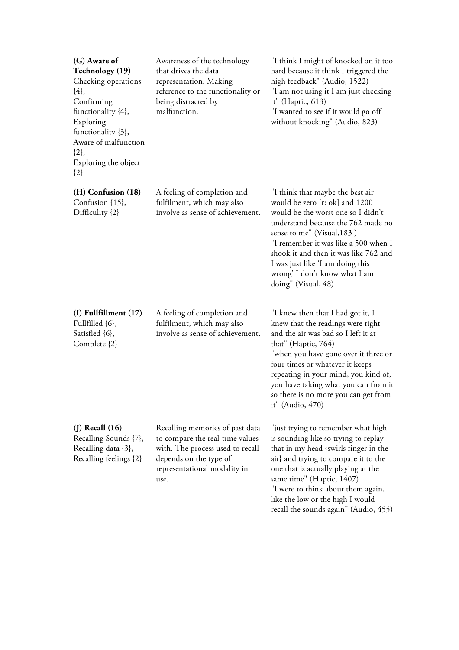| (G) Aware of<br><b>Technology</b> (19)<br>Checking operations<br>${4},$<br>Confirming<br>functionality {4},<br>Exploring<br>functionality {3},<br>Aware of malfunction<br>$\{2\},\$<br>Exploring the object<br>${2}$ | Awareness of the technology<br>that drives the data<br>representation. Making<br>reference to the functionality or<br>being distracted by<br>malfunction.                | "I think I might of knocked on it too<br>hard because it think I triggered the<br>high feedback" (Audio, 1522)<br>"I am not using it I am just checking<br>it" (Haptic, 613)<br>"I wanted to see if it would go off<br>without knocking" (Audio, 823)                                                                                                       |
|----------------------------------------------------------------------------------------------------------------------------------------------------------------------------------------------------------------------|--------------------------------------------------------------------------------------------------------------------------------------------------------------------------|-------------------------------------------------------------------------------------------------------------------------------------------------------------------------------------------------------------------------------------------------------------------------------------------------------------------------------------------------------------|
| (H) Confusion (18)<br>Confusion {15},<br>Difficulity {2}                                                                                                                                                             | A feeling of completion and<br>fulfilment, which may also<br>involve as sense of achievement.                                                                            | "I think that maybe the best air<br>would be zero [r: ok] and 1200<br>would be the worst one so I didn't<br>understand because the 762 made no<br>sense to me" (Visual, 183)<br>"I remember it was like a 500 when I<br>shook it and then it was like 762 and<br>I was just like 'I am doing this<br>wrong' I don't know what I am<br>doing" (Visual, 48)   |
| $(I)$ Fullfillment $(17)$<br>Fullfilled {6},<br>Satisfied {6},<br>Complete {2}                                                                                                                                       | A feeling of completion and<br>fulfilment, which may also<br>involve as sense of achievement.                                                                            | "I knew then that I had got it, I<br>knew that the readings were right<br>and the air was bad so I left it at<br>that" (Haptic, 764)<br>"when you have gone over it three or<br>four times or whatever it keeps<br>repeating in your mind, you kind of,<br>you have taking what you can from it<br>so there is no more you can get from<br>it" (Audio, 470) |
| $(J)$ Recall $(16)$<br>Recalling Sounds {7},<br>Recalling data {3},<br>Recalling feelings {2}                                                                                                                        | Recalling memories of past data<br>to compare the real-time values<br>with. The process used to recall<br>depends on the type of<br>representational modality in<br>use. | "just trying to remember what high<br>is sounding like so trying to replay<br>that in my head {swirls finger in the<br>air} and trying to compare it to the<br>one that is actually playing at the<br>same time" (Haptic, 1407)<br>"I were to think about them again,<br>like the low or the high I would<br>recall the sounds again" (Audio, 455)          |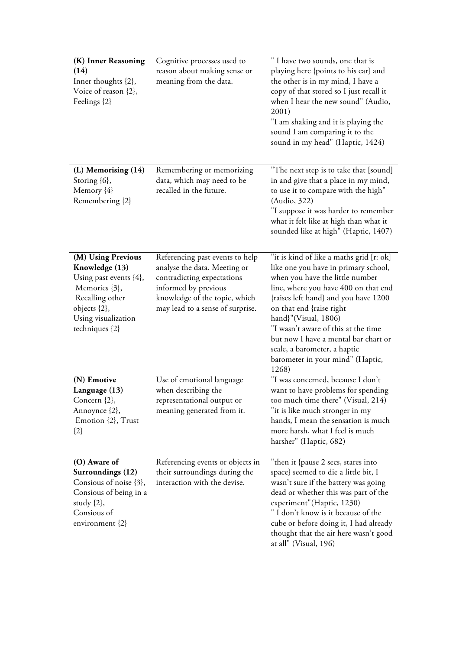| (K) Inner Reasoning<br>(14)<br>Inner thoughts {2},<br>Voice of reason {2},<br>Feelings {2}                                                                       | Cognitive processes used to<br>reason about making sense or<br>meaning from the data.                                                                                                      | " I have two sounds, one that is<br>playing here {points to his ear} and<br>the other is in my mind, I have a<br>copy of that stored so I just recall it<br>when I hear the new sound" (Audio,<br>2001)<br>"I am shaking and it is playing the<br>sound I am comparing it to the<br>sound in my head" (Haptic, 1424)                                                                                                |
|------------------------------------------------------------------------------------------------------------------------------------------------------------------|--------------------------------------------------------------------------------------------------------------------------------------------------------------------------------------------|---------------------------------------------------------------------------------------------------------------------------------------------------------------------------------------------------------------------------------------------------------------------------------------------------------------------------------------------------------------------------------------------------------------------|
| (L) Memorising (14)<br>Storing {6},<br>Memory {4}<br>Remembering {2}                                                                                             | Remembering or memorizing<br>data, which may need to be<br>recalled in the future.                                                                                                         | "The next step is to take that [sound]<br>in and give that a place in my mind,<br>to use it to compare with the high"<br>(Audio, 322)<br>"I suppose it was harder to remember<br>what it felt like at high than what it<br>sounded like at high" (Haptic, 1407)                                                                                                                                                     |
| (M) Using Previous<br>Knowledge (13)<br>Using past events $\{4\}$ ,<br>Memories {3},<br>Recalling other<br>objects {2},<br>Using visualization<br>techniques {2} | Referencing past events to help<br>analyse the data. Meeting or<br>contradicting expectations<br>informed by previous<br>knowledge of the topic, which<br>may lead to a sense of surprise. | "it is kind of like a maths grid [r: ok]<br>like one you have in primary school,<br>when you have the little number<br>line, where you have 400 on that end<br>{raises left hand} and you have 1200<br>on that end {raise right<br>hand}"(Visual, 1806)<br>"I wasn't aware of this at the time<br>but now I have a mental bar chart or<br>scale, a barometer, a haptic<br>barometer in your mind" (Haptic,<br>1268) |
| (N) Emotive<br>Language (13)<br>Concern {2},<br>Annoynce {2},<br>Emotion {2}, Trust<br>${2}$                                                                     | Use of emotional language<br>when describing the<br>representational output or<br>meaning generated from it.                                                                               | "I was concerned, because I don't<br>want to have problems for spending<br>too much time there" (Visual, 214)<br>"it is like much stronger in my<br>hands, I mean the sensation is much<br>more harsh, what I feel is much<br>harsher" (Haptic, 682)                                                                                                                                                                |
| (O) Aware of<br>Surroundings (12)<br>Consious of noise {3},<br>Consious of being in a<br>study $\{2\}$ ,<br>Consious of<br>environment {2}                       | Referencing events or objects in<br>their surroundings during the<br>interaction with the devise.                                                                                          | "then it {pause 2 secs, stares into<br>space} seemed to die a little bit, I<br>wasn't sure if the battery was going<br>dead or whether this was part of the<br>experiment" (Haptic, 1230)<br>" I don't know is it because of the<br>cube or before doing it, I had already<br>thought that the air here wasn't good<br>at all" (Visual, 196)                                                                        |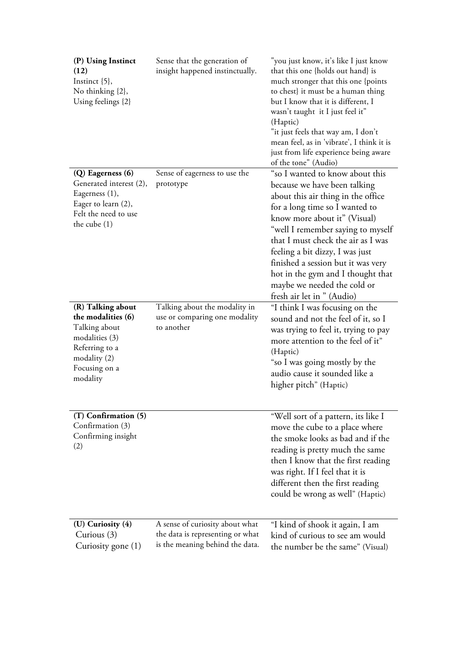| (P) Using Instinct<br>(12)<br>Instinct $\{5\}$ ,<br>No thinking {2},<br>Using feelings {2}                                               | Sense that the generation of<br>insight happened instinctually.                                        | "you just know, it's like I just know<br>that this one {holds out hand} is<br>much stronger that this one {points<br>to chest} it must be a human thing<br>but I know that it is different, I<br>wasn't taught it I just feel it"<br>(Haptic)<br>"it just feels that way am, I don't<br>mean feel, as in 'vibrate', I think it is<br>just from life experience being aware<br>of the tone" (Audio)                            |
|------------------------------------------------------------------------------------------------------------------------------------------|--------------------------------------------------------------------------------------------------------|-------------------------------------------------------------------------------------------------------------------------------------------------------------------------------------------------------------------------------------------------------------------------------------------------------------------------------------------------------------------------------------------------------------------------------|
| (Q) Eagerness (6)<br>Generated interest (2),<br>Eagerness (1),<br>Eager to learn (2),<br>Felt the need to use<br>the cube $(1)$          | Sense of eagerness to use the<br>prototype                                                             | "so I wanted to know about this<br>because we have been talking<br>about this air thing in the office<br>for a long time so I wanted to<br>know more about it" (Visual)<br>"well I remember saying to myself<br>that I must check the air as I was<br>feeling a bit dizzy, I was just<br>finished a session but it was very<br>hot in the gym and I thought that<br>maybe we needed the cold or<br>fresh air let in " (Audio) |
| (R) Talking about<br>the modalities (6)<br>Talking about<br>modalities (3)<br>Referring to a<br>modality(2)<br>Focusing on a<br>modality | Talking about the modality in<br>use or comparing one modality<br>to another                           | "I think I was focusing on the<br>sound and not the feel of it, so I<br>was trying to feel it, trying to pay<br>more attention to the feel of it"<br>(Haptic)<br>"so I was going mostly by the<br>audio cause it sounded like a<br>higher pitch" (Haptic)                                                                                                                                                                     |
| (T) Confirmation (5)<br>Confirmation (3)<br>Confirming insight<br>(2)                                                                    |                                                                                                        | "Well sort of a pattern, its like I<br>move the cube to a place where<br>the smoke looks as bad and if the<br>reading is pretty much the same<br>then I know that the first reading<br>was right. If I feel that it is<br>different then the first reading<br>could be wrong as well" (Haptic)                                                                                                                                |
| (U) Curiosity (4)<br>Curious $(3)$<br>Curiosity gone (1)                                                                                 | A sense of curiosity about what<br>the data is representing or what<br>is the meaning behind the data. | "I kind of shook it again, I am<br>kind of curious to see am would<br>the number be the same" (Visual)                                                                                                                                                                                                                                                                                                                        |